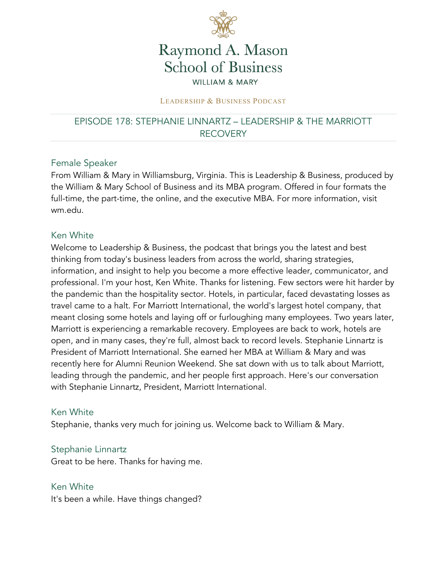

# Raymond A. Mason **School of Business WILLIAM & MARY**

#### LEADERSHIP & BUSINESS PODCAST

### EPISODE 178: STEPHANIE LINNARTZ – LEADERSHIP & THE MARRIOTT RECOVERY

#### Female Speaker

From William & Mary in Williamsburg, Virginia. This is Leadership & Business, produced by the William & Mary School of Business and its MBA program. Offered in four formats the full-time, the part-time, the online, and the executive MBA. For more information, visit wm.edu.

#### Ken White

Welcome to Leadership & Business, the podcast that brings you the latest and best thinking from today's business leaders from across the world, sharing strategies, information, and insight to help you become a more effective leader, communicator, and professional. I'm your host, Ken White. Thanks for listening. Few sectors were hit harder by the pandemic than the hospitality sector. Hotels, in particular, faced devastating losses as travel came to a halt. For Marriott International, the world's largest hotel company, that meant closing some hotels and laying off or furloughing many employees. Two years later, Marriott is experiencing a remarkable recovery. Employees are back to work, hotels are open, and in many cases, they're full, almost back to record levels. Stephanie Linnartz is President of Marriott International. She earned her MBA at William & Mary and was recently here for Alumni Reunion Weekend. She sat down with us to talk about Marriott, leading through the pandemic, and her people first approach. Here's our conversation with Stephanie Linnartz, President, Marriott International.

#### Ken White

Stephanie, thanks very much for joining us. Welcome back to William & Mary.

#### Stephanie Linnartz

Great to be here. Thanks for having me.

Ken White It's been a while. Have things changed?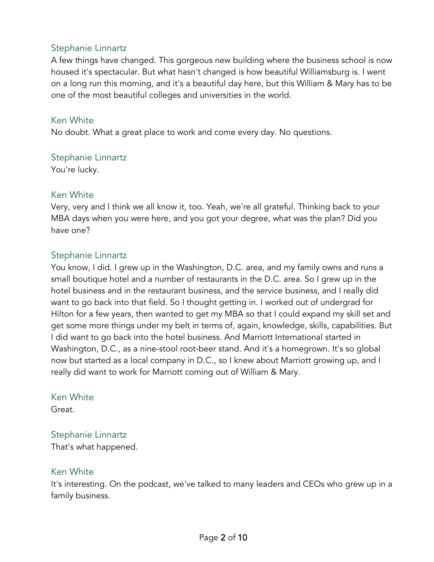A few things have changed. This gorgeous new building where the business school is now housed it's spectacular. But what hasn't changed is how beautiful Williamsburg is. I went on a long run this morning, and it's a beautiful day here, but this William & Mary has to be one of the most beautiful colleges and universities in the world.

#### Ken White

No doubt. What a great place to work and come every day. No questions.

### Stephanie Linnartz

You're lucky.

#### Ken White

Very, very and I think we all know it, too. Yeah, we're all grateful. Thinking back to your MBA days when you were here, and you got your degree, what was the plan? Did you have one?

### Stephanie Linnartz

You know, I did. I grew up in the Washington, D.C. area, and my family owns and runs a small boutique hotel and a number of restaurants in the D.C. area. So I grew up in the hotel business and in the restaurant business, and the service business, and I really did want to go back into that field. So I thought getting in. I worked out of undergrad for Hilton for a few years, then wanted to get my MBA so that I could expand my skill set and get some more things under my belt in terms of, again, knowledge, skills, capabilities. But I did want to go back into the hotel business. And Marriott International started in Washington, D.C., as a nine-stool root-beer stand. And it's a homegrown. It's so global now but started as a local company in D.C., so I knew about Marriott growing up, and I really did want to work for Marriott coming out of William & Mary.

### Ken White

Great.

### Stephanie Linnartz

That's what happened.

### Ken White

It's interesting. On the podcast, we've talked to many leaders and CEOs who grew up in a family business.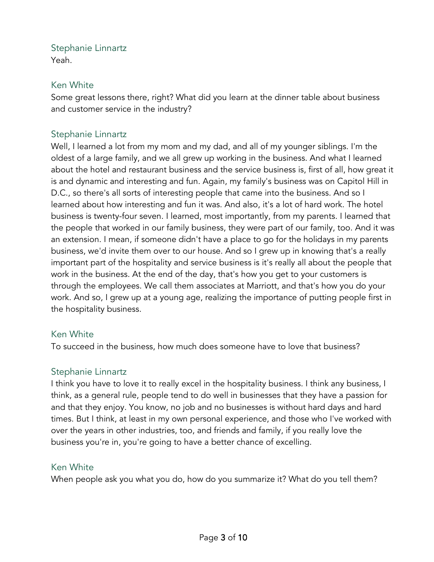Yeah.

### Ken White

Some great lessons there, right? What did you learn at the dinner table about business and customer service in the industry?

### Stephanie Linnartz

Well, I learned a lot from my mom and my dad, and all of my younger siblings. I'm the oldest of a large family, and we all grew up working in the business. And what I learned about the hotel and restaurant business and the service business is, first of all, how great it is and dynamic and interesting and fun. Again, my family's business was on Capitol Hill in D.C., so there's all sorts of interesting people that came into the business. And so I learned about how interesting and fun it was. And also, it's a lot of hard work. The hotel business is twenty-four seven. I learned, most importantly, from my parents. I learned that the people that worked in our family business, they were part of our family, too. And it was an extension. I mean, if someone didn't have a place to go for the holidays in my parents business, we'd invite them over to our house. And so I grew up in knowing that's a really important part of the hospitality and service business is it's really all about the people that work in the business. At the end of the day, that's how you get to your customers is through the employees. We call them associates at Marriott, and that's how you do your work. And so, I grew up at a young age, realizing the importance of putting people first in the hospitality business.

### Ken White

To succeed in the business, how much does someone have to love that business?

### Stephanie Linnartz

I think you have to love it to really excel in the hospitality business. I think any business, I think, as a general rule, people tend to do well in businesses that they have a passion for and that they enjoy. You know, no job and no businesses is without hard days and hard times. But I think, at least in my own personal experience, and those who I've worked with over the years in other industries, too, and friends and family, if you really love the business you're in, you're going to have a better chance of excelling.

### Ken White

When people ask you what you do, how do you summarize it? What do you tell them?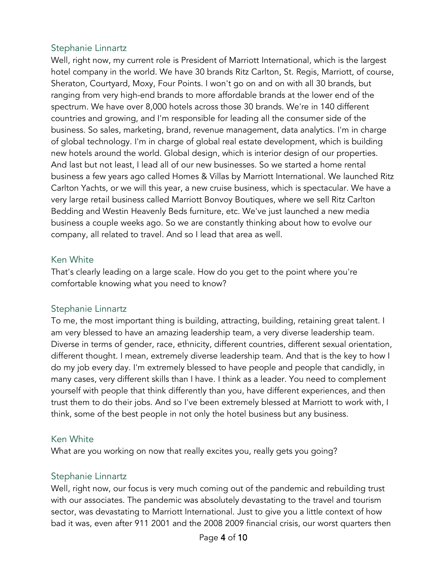Well, right now, my current role is President of Marriott International, which is the largest hotel company in the world. We have 30 brands Ritz Carlton, St. Regis, Marriott, of course, Sheraton, Courtyard, Moxy, Four Points. I won't go on and on with all 30 brands, but ranging from very high-end brands to more affordable brands at the lower end of the spectrum. We have over 8,000 hotels across those 30 brands. We're in 140 different countries and growing, and I'm responsible for leading all the consumer side of the business. So sales, marketing, brand, revenue management, data analytics. I'm in charge of global technology. I'm in charge of global real estate development, which is building new hotels around the world. Global design, which is interior design of our properties. And last but not least, I lead all of our new businesses. So we started a home rental business a few years ago called Homes & Villas by Marriott International. We launched Ritz Carlton Yachts, or we will this year, a new cruise business, which is spectacular. We have a very large retail business called Marriott Bonvoy Boutiques, where we sell Ritz Carlton Bedding and Westin Heavenly Beds furniture, etc. We've just launched a new media business a couple weeks ago. So we are constantly thinking about how to evolve our company, all related to travel. And so I lead that area as well.

#### Ken White

That's clearly leading on a large scale. How do you get to the point where you're comfortable knowing what you need to know?

### Stephanie Linnartz

To me, the most important thing is building, attracting, building, retaining great talent. I am very blessed to have an amazing leadership team, a very diverse leadership team. Diverse in terms of gender, race, ethnicity, different countries, different sexual orientation, different thought. I mean, extremely diverse leadership team. And that is the key to how I do my job every day. I'm extremely blessed to have people and people that candidly, in many cases, very different skills than I have. I think as a leader. You need to complement yourself with people that think differently than you, have different experiences, and then trust them to do their jobs. And so I've been extremely blessed at Marriott to work with, I think, some of the best people in not only the hotel business but any business.

### Ken White

What are you working on now that really excites you, really gets you going?

### Stephanie Linnartz

Well, right now, our focus is very much coming out of the pandemic and rebuilding trust with our associates. The pandemic was absolutely devastating to the travel and tourism sector, was devastating to Marriott International. Just to give you a little context of how bad it was, even after 911 2001 and the 2008 2009 financial crisis, our worst quarters then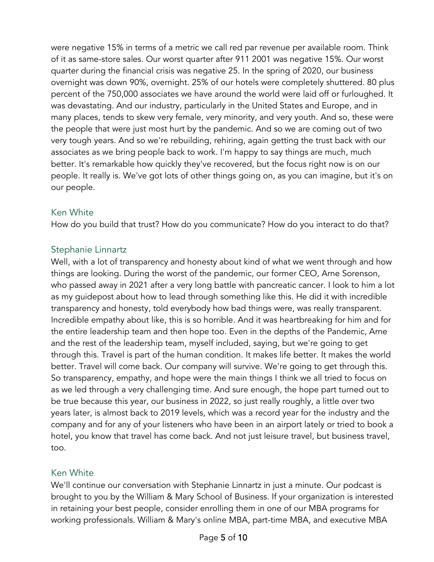were negative 15% in terms of a metric we call red par revenue per available room. Think of it as same-store sales. Our worst quarter after 911 2001 was negative 15%. Our worst quarter during the financial crisis was negative 25. In the spring of 2020, our business overnight was down 90%, overnight. 25% of our hotels were completely shuttered. 80 plus percent of the 750,000 associates we have around the world were laid off or furloughed. It was devastating. And our industry, particularly in the United States and Europe, and in many places, tends to skew very female, very minority, and very youth. And so, these were the people that were just most hurt by the pandemic. And so we are coming out of two very tough years. And so we're rebuilding, rehiring, again getting the trust back with our associates as we bring people back to work. I'm happy to say things are much, much better. It's remarkable how quickly they've recovered, but the focus right now is on our people. It really is. We've got lots of other things going on, as you can imagine, but it's on our people.

### Ken White

How do you build that trust? How do you communicate? How do you interact to do that?

### Stephanie Linnartz

Well, with a lot of transparency and honesty about kind of what we went through and how things are looking. During the worst of the pandemic, our former CEO, Arne Sorenson, who passed away in 2021 after a very long battle with pancreatic cancer. I look to him a lot as my guidepost about how to lead through something like this. He did it with incredible transparency and honesty, told everybody how bad things were, was really transparent. Incredible empathy about like, this is so horrible. And it was heartbreaking for him and for the entire leadership team and then hope too. Even in the depths of the Pandemic, Arne and the rest of the leadership team, myself included, saying, but we're going to get through this. Travel is part of the human condition. It makes life better. It makes the world better. Travel will come back. Our company will survive. We're going to get through this. So transparency, empathy, and hope were the main things I think we all tried to focus on as we led through a very challenging time. And sure enough, the hope part turned out to be true because this year, our business in 2022, so just really roughly, a little over two years later, is almost back to 2019 levels, which was a record year for the industry and the company and for any of your listeners who have been in an airport lately or tried to book a hotel, you know that travel has come back. And not just leisure travel, but business travel, too.

### Ken White

We'll continue our conversation with Stephanie Linnartz in just a minute. Our podcast is brought to you by the William & Mary School of Business. If your organization is interested in retaining your best people, consider enrolling them in one of our MBA programs for working professionals. William & Mary's online MBA, part-time MBA, and executive MBA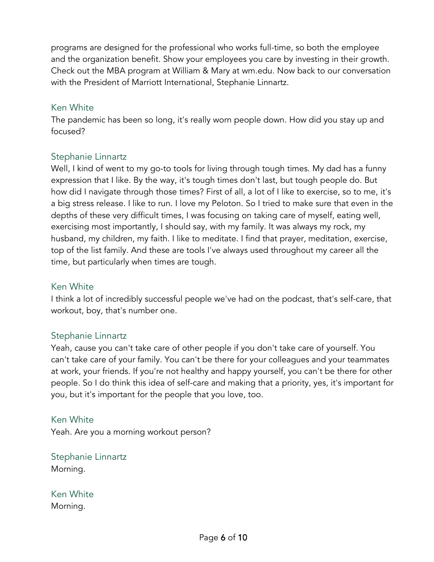programs are designed for the professional who works full-time, so both the employee and the organization benefit. Show your employees you care by investing in their growth. Check out the MBA program at William & Mary at wm.edu. Now back to our conversation with the President of Marriott International, Stephanie Linnartz.

#### Ken White

The pandemic has been so long, it's really worn people down. How did you stay up and focused?

### Stephanie Linnartz

Well, I kind of went to my go-to tools for living through tough times. My dad has a funny expression that I like. By the way, it's tough times don't last, but tough people do. But how did I navigate through those times? First of all, a lot of I like to exercise, so to me, it's a big stress release. I like to run. I love my Peloton. So I tried to make sure that even in the depths of these very difficult times, I was focusing on taking care of myself, eating well, exercising most importantly, I should say, with my family. It was always my rock, my husband, my children, my faith. I like to meditate. I find that prayer, meditation, exercise, top of the list family. And these are tools I've always used throughout my career all the time, but particularly when times are tough.

### Ken White

I think a lot of incredibly successful people we've had on the podcast, that's self-care, that workout, boy, that's number one.

### Stephanie Linnartz

Yeah, cause you can't take care of other people if you don't take care of yourself. You can't take care of your family. You can't be there for your colleagues and your teammates at work, your friends. If you're not healthy and happy yourself, you can't be there for other people. So I do think this idea of self-care and making that a priority, yes, it's important for you, but it's important for the people that you love, too.

#### Ken White

Yeah. Are you a morning workout person?

Stephanie Linnartz Morning.

Ken White Morning.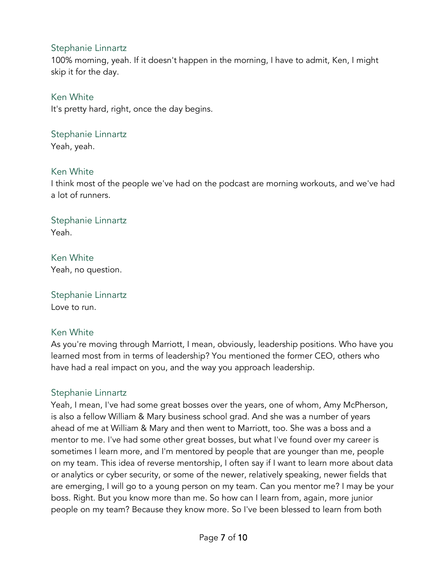100% morning, yeah. If it doesn't happen in the morning, I have to admit, Ken, I might skip it for the day.

Ken White It's pretty hard, right, once the day begins.

Stephanie Linnartz

Yeah, yeah.

#### Ken White

I think most of the people we've had on the podcast are morning workouts, and we've had a lot of runners.

Stephanie Linnartz Yeah.

Ken White Yeah, no question.

Stephanie Linnartz Love to run.

#### Ken White

As you're moving through Marriott, I mean, obviously, leadership positions. Who have you learned most from in terms of leadership? You mentioned the former CEO, others who have had a real impact on you, and the way you approach leadership.

### Stephanie Linnartz

Yeah, I mean, I've had some great bosses over the years, one of whom, Amy McPherson, is also a fellow William & Mary business school grad. And she was a number of years ahead of me at William & Mary and then went to Marriott, too. She was a boss and a mentor to me. I've had some other great bosses, but what I've found over my career is sometimes I learn more, and I'm mentored by people that are younger than me, people on my team. This idea of reverse mentorship, I often say if I want to learn more about data or analytics or cyber security, or some of the newer, relatively speaking, newer fields that are emerging, I will go to a young person on my team. Can you mentor me? I may be your boss. Right. But you know more than me. So how can I learn from, again, more junior people on my team? Because they know more. So I've been blessed to learn from both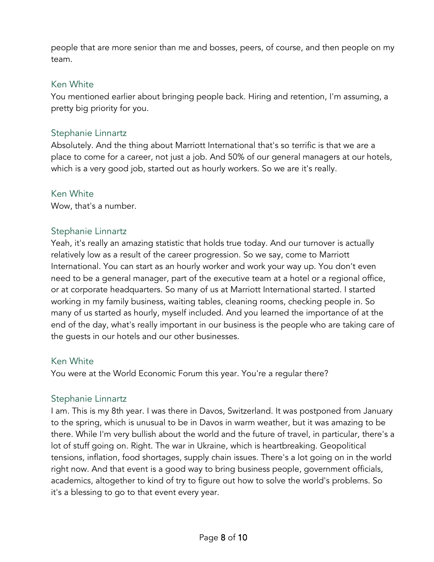people that are more senior than me and bosses, peers, of course, and then people on my team.

#### Ken White

You mentioned earlier about bringing people back. Hiring and retention, I'm assuming, a pretty big priority for you.

#### Stephanie Linnartz

Absolutely. And the thing about Marriott International that's so terrific is that we are a place to come for a career, not just a job. And 50% of our general managers at our hotels, which is a very good job, started out as hourly workers. So we are it's really.

#### Ken White

Wow, that's a number.

#### Stephanie Linnartz

Yeah, it's really an amazing statistic that holds true today. And our turnover is actually relatively low as a result of the career progression. So we say, come to Marriott International. You can start as an hourly worker and work your way up. You don't even need to be a general manager, part of the executive team at a hotel or a regional office, or at corporate headquarters. So many of us at Marriott International started. I started working in my family business, waiting tables, cleaning rooms, checking people in. So many of us started as hourly, myself included. And you learned the importance of at the end of the day, what's really important in our business is the people who are taking care of the guests in our hotels and our other businesses.

#### Ken White

You were at the World Economic Forum this year. You're a regular there?

#### Stephanie Linnartz

I am. This is my 8th year. I was there in Davos, Switzerland. It was postponed from January to the spring, which is unusual to be in Davos in warm weather, but it was amazing to be there. While I'm very bullish about the world and the future of travel, in particular, there's a lot of stuff going on. Right. The war in Ukraine, which is heartbreaking. Geopolitical tensions, inflation, food shortages, supply chain issues. There's a lot going on in the world right now. And that event is a good way to bring business people, government officials, academics, altogether to kind of try to figure out how to solve the world's problems. So it's a blessing to go to that event every year.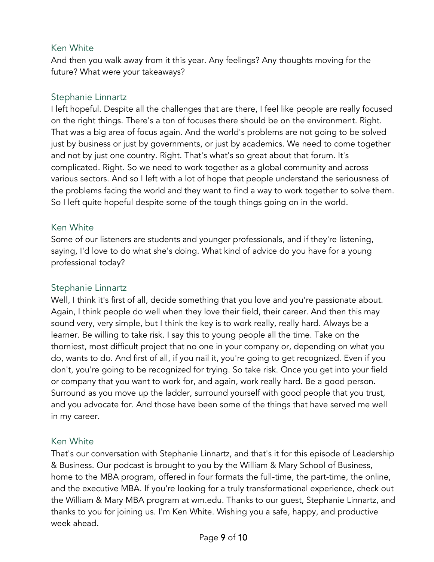### Ken White

And then you walk away from it this year. Any feelings? Any thoughts moving for the future? What were your takeaways?

### Stephanie Linnartz

I left hopeful. Despite all the challenges that are there, I feel like people are really focused on the right things. There's a ton of focuses there should be on the environment. Right. That was a big area of focus again. And the world's problems are not going to be solved just by business or just by governments, or just by academics. We need to come together and not by just one country. Right. That's what's so great about that forum. It's complicated. Right. So we need to work together as a global community and across various sectors. And so I left with a lot of hope that people understand the seriousness of the problems facing the world and they want to find a way to work together to solve them. So I left quite hopeful despite some of the tough things going on in the world.

### Ken White

Some of our listeners are students and younger professionals, and if they're listening, saying, I'd love to do what she's doing. What kind of advice do you have for a young professional today?

### Stephanie Linnartz

Well, I think it's first of all, decide something that you love and you're passionate about. Again, I think people do well when they love their field, their career. And then this may sound very, very simple, but I think the key is to work really, really hard. Always be a learner. Be willing to take risk. I say this to young people all the time. Take on the thorniest, most difficult project that no one in your company or, depending on what you do, wants to do. And first of all, if you nail it, you're going to get recognized. Even if you don't, you're going to be recognized for trying. So take risk. Once you get into your field or company that you want to work for, and again, work really hard. Be a good person. Surround as you move up the ladder, surround yourself with good people that you trust, and you advocate for. And those have been some of the things that have served me well in my career.

### Ken White

That's our conversation with Stephanie Linnartz, and that's it for this episode of Leadership & Business. Our podcast is brought to you by the William & Mary School of Business, home to the MBA program, offered in four formats the full-time, the part-time, the online, and the executive MBA. If you're looking for a truly transformational experience, check out the William & Mary MBA program at wm.edu. Thanks to our guest, Stephanie Linnartz, and thanks to you for joining us. I'm Ken White. Wishing you a safe, happy, and productive week ahead.